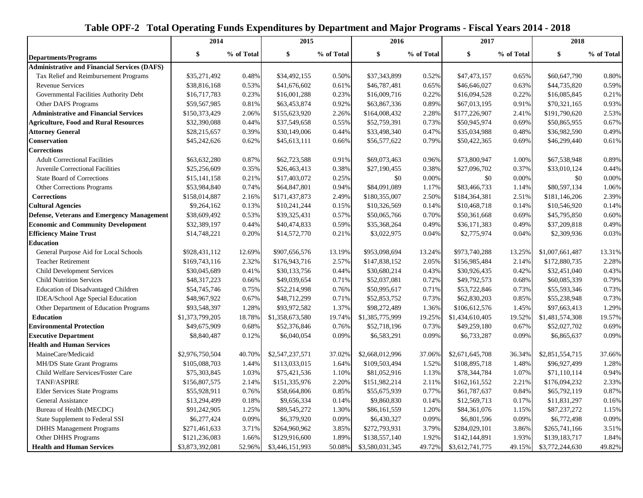|                                                     | 2014            |            | 2015            |            | 2016            |            | 2017            |            | 2018            |            |
|-----------------------------------------------------|-----------------|------------|-----------------|------------|-----------------|------------|-----------------|------------|-----------------|------------|
| <b>Departments/Programs</b>                         | \$              | % of Total | \$              | % of Total | \$              | % of Total | \$              | % of Total | \$              | % of Total |
| <b>Administrative and Financial Services (DAFS)</b> |                 |            |                 |            |                 |            |                 |            |                 |            |
| Tax Relief and Reimbursement Programs               | \$35,271,492    | 0.48%      | \$34,492,155    | 0.50%      | \$37,343,899    | 0.52%      | \$47,473,157    | 0.65%      | \$60,647,790    | 0.80%      |
| <b>Revenue Services</b>                             | \$38,816,168    | 0.53%      | \$41,676,602    | 0.61%      | \$46,787,481    | 0.65%      | \$46,646,027    | 0.63%      | \$44,735,820    | 0.59%      |
| Governmental Facilities Authority Debt              | \$16,717,783    | 0.23%      | \$16,001,288    | 0.23%      | \$16,009,716    | 0.22%      | \$16,094,528    | 0.22%      | \$16,085,845    | 0.21%      |
| Other DAFS Programs                                 | \$59,567,985    | 0.81%      | \$63,453,874    | 0.92%      | \$63,867,336    | 0.89%      | \$67,013,195    | 0.91%      | \$70,321,165    | 0.93%      |
| <b>Administrative and Financial Services</b>        | \$150,373,429   | 2.06%      | \$155,623,920   | 2.26%      | \$164,008,432   | 2.28%      | \$177,226,907   | 2.41%      | \$191,790,620   | 2.53%      |
| <b>Agriculture, Food and Rural Resources</b>        | \$32,390,088    | 0.44%      | \$37,549,658    | 0.55%      | \$52,759,391    | 0.73%      | \$50,945,974    | 0.69%      | \$50,865,955    | 0.67%      |
| <b>Attorney General</b>                             | \$28,215,657    | 0.39%      | \$30,149,006    | 0.44%      | \$33,498,340    | 0.47%      | \$35,034,988    | 0.48%      | \$36,982,590    | 0.49%      |
| Conservation                                        | \$45,242,626    | 0.62%      | \$45,613,111    | 0.66%      | \$56,577,622    | 0.79%      | \$50,422,365    | 0.69%      | \$46,299,440    | 0.61%      |
| <b>Corrections</b>                                  |                 |            |                 |            |                 |            |                 |            |                 |            |
| <b>Adult Correctional Facilities</b>                | \$63,632,280    | 0.87%      | \$62,723,588    | 0.91%      | \$69,073,463    | 0.96%      | \$73,800,947    | 1.00%      | \$67,538,948    | 0.89%      |
| Juvenile Correctional Facilities                    | \$25,256,609    | 0.35%      | \$26,463,413    | 0.38%      | \$27,190,455    | 0.38%      | \$27,096,702    | 0.37%      | \$33,010,124    | 0.44%      |
| <b>State Board of Corrections</b>                   | \$15,141,158    | 0.21%      | \$17,403,072    | 0.25%      | \$0             | 0.00%      | \$0             | 0.00%      | \$0             | 0.00%      |
| Other Corrections Programs                          | \$53,984,840    | 0.74%      | \$64,847,801    | 0.94%      | \$84,091,089    | 1.17%      | \$83,466,733    | 1.14%      | \$80,597,134    | 1.06%      |
| <b>Corrections</b>                                  | \$158,014,887   | 2.16%      | \$171,437,873   | 2.49%      | \$180,355,007   | 2.50%      | \$184,364,381   | 2.51%      | \$181,146,206   | 2.39%      |
| <b>Cultural Agencies</b>                            | \$9,264,162     | 0.13%      | \$10,241,244    | 0.15%      | \$10,326,569    | 0.14%      | \$10,468,718    | 0.14%      | \$10,546,920    | 0.14%      |
| <b>Defense, Veterans and Emergency Management</b>   | \$38,609,492    | 0.53%      | \$39,325,431    | 0.57%      | \$50,065,766    | 0.70%      | \$50,361,668    | 0.69%      | \$45,795,850    | 0.60%      |
| <b>Economic and Community Development</b>           | \$32,389,197    | 0.44%      | \$40,474,833    | 0.59%      | \$35,368,264    | 0.49%      | \$36,171,383    | 0.49%      | \$37,209,818    | 0.49%      |
| <b>Efficiency Maine Trust</b>                       | \$14,748,221    | 0.20%      | \$14,572,770    | 0.21%      | \$3,022,975     | 0.04%      | \$2,775,974     | 0.04%      | \$2,309,936     | 0.03%      |
| <b>Education</b>                                    |                 |            |                 |            |                 |            |                 |            |                 |            |
| General Purpose Aid for Local Schools               | \$928,431,112   | 12.69%     | \$907,656,576   | 13.19%     | \$953,098,694   | 13.24%     | \$973,740,288   | 13.25%     | \$1,007,661,487 | 13.31%     |
| <b>Teacher Retirement</b>                           | \$169,743,116   | 2.32%      | \$176,943,716   | 2.57%      | \$147,838,152   | 2.05%      | \$156,985,484   | 2.14%      | \$172,880,735   | 2.28%      |
| <b>Child Development Services</b>                   | \$30,045,689    | 0.41%      | \$30,133,756    | 0.44%      | \$30,680,214    | 0.43%      | \$30,926,435    | 0.42%      | \$32,451,040    | 0.43%      |
| <b>Child Nutrition Services</b>                     | \$48,317,223    | 0.66%      | \$49,039,654    | 0.71%      | \$52,037,081    | 0.72%      | \$49,792,573    | 0.68%      | \$60,085,339    | 0.79%      |
| Education of Disadvantaged Children                 | \$54,745,746    | 0.75%      | \$52,214,998    | 0.76%      | \$50,995,617    | 0.71%      | \$53,722,846    | 0.73%      | \$55,593,346    | 0.73%      |
| IDEA/School Age Special Education                   | \$48,967,922    | 0.67%      | \$48,712,299    | 0.71%      | \$52,853,752    | 0.73%      | \$62,830,203    | 0.85%      | \$55,238,948    | 0.73%      |
| Other Department of Education Programs              | \$93,548,397    | 1.28%      | \$93,972,582    | 1.37%      | \$98,272,489    | 1.36%      | \$106,612,576   | 1.45%      | \$97,663,413    | 1.29%      |
| <b>Education</b>                                    | \$1,373,799,205 | 18.78%     | \$1,358,673,580 | 19.74%     | \$1,385,775,999 | 19.25%     | \$1,434,610,405 | 19.52%     | \$1,481,574,308 | 19.57%     |
| <b>Environmental Protection</b>                     | \$49,675,909    | 0.68%      | \$52,376,846    | 0.76%      | \$52,718,196    | 0.73%      | \$49,259,180    | 0.67%      | \$52,027,702    | 0.69%      |
| <b>Executive Department</b>                         | \$8,840,487     | 0.12%      | \$6,040,054     | 0.09%      | \$6,583,291     | 0.09%      | \$6,733,287     | 0.09%      | \$6,865,637     | 0.09%      |
| <b>Health and Human Services</b>                    |                 |            |                 |            |                 |            |                 |            |                 |            |
| MaineCare/Medicaid                                  | \$2,976,750,504 | 40.70%     | \$2,547,237,571 | 37.02%     | \$2,668,012,996 | 37.06%     | \$2,671,645,708 | 36.34%     | \$2,851,554,715 | 37.66%     |
| MH/DS State Grant Programs                          | \$105,088,703   | 1.44%      | \$113,033,015   | 1.64%      | \$109,503,494   | 1.52%      | \$108,895,718   | 1.48%      | \$96,927,499    | 1.28%      |
| Child Welfare Services/Foster Care                  | \$75,303,845    | 1.03%      | \$75,421,536    | 1.10%      | \$81,052,916    | 1.13%      | \$78,344,784    | 1.07%      | \$71,110,114    | 0.94%      |
| TANF/ASPIRE                                         | \$156,807,575   | 2.14%      | \$151,335,976   | 2.20%      | \$151,982,214   | 2.11%      | \$162,161,552   | 2.21%      | \$176,094,232   | 2.33%      |
| <b>Elder Services State Programs</b>                | \$55,928,911    | 0.76%      | \$58,664,806    | 0.85%      | \$55,675,939    | 0.77%      | \$61,787,637    | 0.84%      | \$65,792,119    | 0.87%      |
| General Assistance                                  | \$13,294,499    | 0.18%      | \$9,656,334     | 0.14%      | \$9,860,830     | 0.14%      | \$12,569,713    | 0.17%      | \$11,831,297    | 0.16%      |
| Bureau of Health (MECDC)                            | \$91,242,905    | 1.25%      | \$89,545,272    | 1.30%      | \$86,161,559    | 1.20%      | \$84,361,076    | 1.15%      | \$87,237,272    | 1.15%      |
| State Supplement to Federal SSI                     | \$6,277,424     | 0.09%      | \$6,379,920     | 0.09%      | \$6,430,327     | 0.09%      | \$6,801,596     | 0.09%      | \$6,772,498     | 0.09%      |
| <b>DHHS Management Programs</b>                     | \$271,461,633   | 3.71%      | \$264,960,962   | 3.85%      | \$272,793,931   | 3.79%      | \$284,029,101   | 3.86%      | \$265,741,166   | 3.51%      |
| Other DHHS Programs                                 | \$121,236,083   | 1.66%      | \$129,916,600   | 1.89%      | \$138,557,140   | 1.92%      | \$142,144,891   | 1.93%      | \$139,183,717   | 1.84%      |
| <b>Health and Human Services</b>                    | \$3,873,392,081 | 52.96%     | \$3,446,151,993 | 50.08%     | \$3,580,031,345 | 49.72%     | \$3,612,741,775 | 49.15%     | \$3,772,244,630 | 49.82%     |

## **Table OPF-2 Total Operating Funds Expenditures by Department and Major Programs - Fiscal Years 2014 - 2018**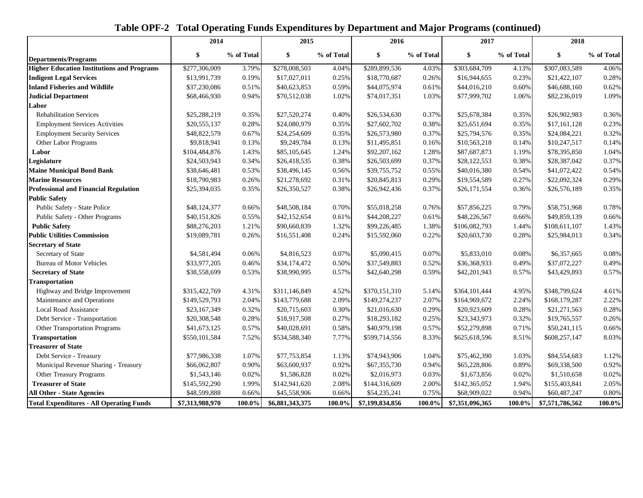|                                                   | 2014            |            | 2015            |            | 2016            |            | 2017            |            | 2018            |            |
|---------------------------------------------------|-----------------|------------|-----------------|------------|-----------------|------------|-----------------|------------|-----------------|------------|
| <b>Departments/Programs</b>                       | \$              | % of Total | \$              | % of Total | \$              | % of Total | \$              | % of Total | \$              | % of Total |
| <b>Higher Education Institutions and Programs</b> | \$277,306,009   | 3.79%      | \$278,008,503   | 4.04%      | \$289,899,536   | 4.03%      | \$303,684,709   | 4.13%      | \$307,083,589   | 4.06%      |
| <b>Indigent Legal Services</b>                    | \$13,991,739    | 0.19%      | \$17,027,011    | 0.25%      | \$18,770,687    | 0.26%      | \$16,944,655    | 0.23%      | \$21,422,107    | 0.28%      |
| <b>Inland Fisheries and Wildlife</b>              | \$37,230,086    | 0.51%      | \$40,623,853    | 0.59%      | \$44,075,974    | 0.61%      | \$44,016,210    | 0.60%      | \$46,688,160    | 0.62%      |
| <b>Judicial Department</b>                        | \$68,466,930    | 0.94%      | \$70,512,038    | 1.02%      | \$74,017,351    | 1.03%      | \$77,999,702    | 1.06%      | \$82,236,019    | 1.09%      |
| Labor                                             |                 |            |                 |            |                 |            |                 |            |                 |            |
| <b>Rehabilitation Services</b>                    | \$25,288,219    | 0.35%      | \$27,520,274    | 0.40%      | \$26,534,630    | 0.37%      | \$25,678,384    | 0.35%      | \$26,902,983    | 0.36%      |
| <b>Employment Services Activities</b>             | \$20,555,137    | 0.28%      | \$24,080,979    | 0.35%      | \$27,602,702    | 0.38%      | \$25,651,694    | 0.35%      | \$17,161,128    | 0.23%      |
| <b>Employment Security Services</b>               | \$48,822,579    | 0.67%      | \$24,254,609    | 0.35%      | \$26,573,980    | 0.37%      | \$25,794,576    | 0.35%      | \$24,084,221    | 0.32%      |
| Other Labor Programs                              | \$9,818,941     | 0.13%      | \$9,249,784     | 0.13%      | \$11,495,851    | 0.16%      | \$10,563,218    | 0.14%      | \$10,247,517    | 0.14%      |
| Labor                                             | \$104,484,876   | 1.43%      | \$85,105,645    | 1.24%      | \$92,207,162    | 1.28%      | \$87,687,873    | 1.19%      | \$78,395,850    | 1.04%      |
| Legislature                                       | \$24,503,943    | 0.34%      | \$26,418,535    | 0.38%      | \$26,503,699    | 0.37%      | \$28,122,553    | 0.38%      | \$28,387,042    | 0.37%      |
| <b>Maine Municipal Bond Bank</b>                  | \$38,646,481    | 0.53%      | \$38,496,145    | 0.56%      | \$39,755,752    | 0.55%      | \$40,016,380    | 0.54%      | \$41,072,422    | 0.54%      |
| <b>Marine Resources</b>                           | \$18,790,983    | 0.26%      | \$21,278,692    | 0.31%      | \$20,845,813    | 0.29%      | \$19,554,589    | 0.27%      | \$22,092,324    | 0.29%      |
| <b>Professional and Financial Regulation</b>      | \$25,394,035    | 0.35%      | \$26,350,527    | 0.38%      | \$26,942,436    | 0.37%      | \$26,171,554    | 0.36%      | \$26,576,189    | 0.35%      |
| <b>Public Safety</b>                              |                 |            |                 |            |                 |            |                 |            |                 |            |
| Public Safety - State Police                      | \$48,124,377    | 0.66%      | \$48,508,184    | 0.70%      | \$55,018,258    | 0.76%      | \$57,856,225    | 0.79%      | \$58,751,968    | 0.78%      |
| Public Safety - Other Programs                    | \$40,151,826    | 0.55%      | \$42,152,654    | 0.61%      | \$44,208,227    | 0.61%      | \$48,226,567    | 0.66%      | \$49,859,139    | 0.66%      |
| <b>Public Safety</b>                              | \$88,276,203    | 1.21%      | \$90,660,839    | 1.32%      | \$99,226,485    | 1.38%      | \$106,082,793   | 1.44%      | \$108,611,107   | 1.43%      |
| <b>Public Utilities Commission</b>                | \$19,089,781    | 0.26%      | \$16,551,408    | 0.24%      | \$15,592,060    | 0.22%      | \$20,603,730    | 0.28%      | \$25,984,013    | 0.34%      |
| <b>Secretary of State</b>                         |                 |            |                 |            |                 |            |                 |            |                 |            |
| Secretary of State                                | \$4,581,494     | 0.06%      | \$4,816,523     | 0.07%      | \$5,090,415     | 0.07%      | \$5,833,010     | 0.08%      | \$6,357,665     | 0.08%      |
| <b>Bureau of Motor Vehicles</b>                   | \$33,977,205    | 0.46%      | \$34,174,472    | 0.50%      | \$37,549,883    | 0.52%      | \$36,368,933    | 0.49%      | \$37,072,227    | 0.49%      |
| <b>Secretary of State</b>                         | \$38,558,699    | 0.53%      | \$38,990,995    | 0.57%      | \$42,640,298    | 0.59%      | \$42,201,943    | 0.57%      | \$43,429,893    | 0.57%      |
| <b>Transportation</b>                             |                 |            |                 |            |                 |            |                 |            |                 |            |
| Highway and Bridge Improvement                    | \$315,422,769   | 4.31%      | \$311,146,849   | 4.52%      | \$370,151,310   | 5.14%      | \$364,101,444   | 4.95%      | \$348,799,624   | 4.61%      |
| Maintenance and Operations                        | \$149,529,793   | 2.04%      | \$143,779,688   | 2.09%      | \$149,274,237   | 2.07%      | \$164,969,672   | 2.24%      | \$168,179,287   | 2.22%      |
| Local Road Assistance                             | \$23,167,349    | 0.32%      | \$20,715,603    | 0.30%      | \$21,016,630    | 0.29%      | \$20,923,609    | 0.28%      | \$21,271,563    | 0.28%      |
| Debt Service - Transportation                     | \$20,308,548    | 0.28%      | \$18,917,508    | 0.27%      | \$18,293,182    | 0.25%      | \$23,343,973    | 0.32%      | \$19,765,557    | 0.26%      |
| Other Transportation Programs                     | \$41,673,125    | 0.57%      | \$40,028,691    | 0.58%      | \$40,979,198    | 0.57%      | \$52,279,898    | 0.71%      | \$50,241,115    | 0.66%      |
| <b>Transportation</b>                             | \$550,101,584   | 7.52%      | \$534,588,340   | 7.77%      | \$599,714,556   | 8.33%      | \$625,618,596   | 8.51%      | \$608,257,147   | 8.03%      |
| <b>Treasurer of State</b>                         |                 |            |                 |            |                 |            |                 |            |                 |            |
| Debt Service - Treasury                           | \$77,986,338    | 1.07%      | \$77,753,854    | 1.13%      | \$74,943,906    | 1.04%      | \$75,462,390    | 1.03%      | \$84,554,683    | 1.12%      |
| Municipal Revenue Sharing - Treasury              | \$66,062,807    | 0.90%      | \$63,600,937    | 0.92%      | \$67,355,730    | 0.94%      | \$65,228,806    | 0.89%      | \$69,338,500    | 0.92%      |
| Other Treasury Programs                           | \$1,543,146     | 0.02%      | \$1,586,828     | 0.02%      | \$2,016,973     | 0.03%      | \$1,673,856     | 0.02%      | \$1,510,658     | 0.02%      |
| <b>Treasurer of State</b>                         | \$145,592,290   | 1.99%      | \$142,941,620   | 2.08%      | \$144,316,609   | 2.00%      | \$142,365,052   | 1.94%      | \$155,403,841   | 2.05%      |
| <b>All Other - State Agencies</b>                 | \$48,599,888    | 0.66%      | \$45,558,906    | 0.66%      | \$54,235,241    | 0.75%      | \$68,909,022    | 0.94%      | \$60,487,247    | 0.80%      |
| <b>Total Expenditures - All Operating Funds</b>   | \$7,313,988,970 | $100.0\%$  | \$6,881,343,375 | $100.0\%$  | \$7,199,834,856 | 100.0%     | \$7,351,096,365 | $100.0\%$  | \$7,571,786,562 | $100.0\%$  |

## **Table OPF-2 Total Operating Funds Expenditures by Department and Major Programs (continued)**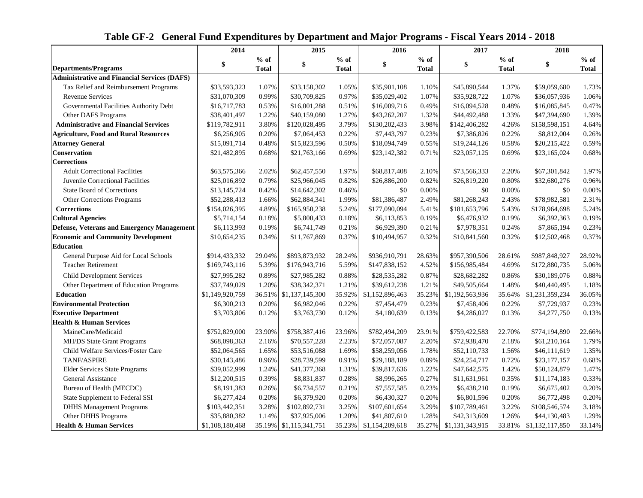|  | Table GF-2 General Fund Expenditures by Department and Major Programs - Fiscal Years 2014 - 2018 |  |  |  |  |
|--|--------------------------------------------------------------------------------------------------|--|--|--|--|
|  |                                                                                                  |  |  |  |  |

|                                                     | 2014            |              | 2015                   | 2016         |                 |              | 2017            |              | 2018            |              |
|-----------------------------------------------------|-----------------|--------------|------------------------|--------------|-----------------|--------------|-----------------|--------------|-----------------|--------------|
|                                                     | \$              | $%$ of       | \$                     | $%$ of       | \$              | $%$ of       | \$              | $%$ of       | \$              | $%$ of       |
| <b>Departments/Programs</b>                         |                 | <b>Total</b> |                        | <b>Total</b> |                 | <b>Total</b> |                 | <b>Total</b> |                 | <b>Total</b> |
| <b>Administrative and Financial Services (DAFS)</b> |                 |              |                        |              |                 |              |                 |              |                 |              |
| Tax Relief and Reimbursement Programs               | \$33,593,323    | 1.07%        | \$33,158,302           | 1.05%        | \$35,901,108    | 1.10%        | \$45,890,544    | 1.37%        | \$59,059,680    | 1.73%        |
| <b>Revenue Services</b>                             | \$31,070,309    | 0.99%        | \$30,709,825           | 0.97%        | \$35,029,402    | 1.07%        | \$35,928,722    | 1.07%        | \$36,057,936    | 1.06%        |
| Governmental Facilities Authority Debt              | \$16,717,783    | 0.53%        | \$16,001,288           | 0.51%        | \$16,009,716    | 0.49%        | \$16,094,528    | 0.48%        | \$16,085,845    | 0.47%        |
| Other DAFS Programs                                 | \$38,401,497    | 1.22%        | \$40,159,080           | 1.27%        | \$43,262,207    | 1.32%        | \$44,492,488    | 1.33%        | \$47,394,690    | 1.39%        |
| <b>Administrative and Financial Services</b>        | \$119,782,911   | 3.80%        | \$120,028,495          | 3.79%        | \$130,202,433   | 3.98%        | \$142,406,282   | 4.26%        | \$158,598,151   | 4.64%        |
| <b>Agriculture, Food and Rural Resources</b>        | \$6,256,905     | 0.20%        | \$7,064,453            | 0.22%        | \$7,443,797     | 0.23%        | \$7,386,826     | 0.22%        | \$8,812,004     | 0.26%        |
| <b>Attorney General</b>                             | \$15,091,714    | 0.48%        | \$15,823,596           | 0.50%        | \$18,094,749    | 0.55%        | \$19,244,126    | 0.58%        | \$20,215,422    | 0.59%        |
| <b>Conservation</b>                                 | \$21,482,895    | 0.68%        | \$21,763,166           | 0.69%        | \$23,142,382    | 0.71%        | \$23,057,125    | 0.69%        | \$23,165,024    | 0.68%        |
| <b>Corrections</b>                                  |                 |              |                        |              |                 |              |                 |              |                 |              |
| <b>Adult Correctional Facilities</b>                | \$63,575,366    | 2.02%        | \$62,457,550           | 1.97%        | \$68,817,408    | 2.10%        | \$73,566,333    | 2.20%        | \$67,301,842    | 1.97%        |
| Juvenile Correctional Facilities                    | \$25,016.892    | 0.79%        | \$25,966,045           | 0.82%        | \$26,886,200    | 0.82%        | \$26,819,220    | 0.80%        | \$32,680,276    | 0.96%        |
| <b>State Board of Corrections</b>                   | \$13,145,724    | 0.42%        | \$14,642,302           | 0.46%        | \$0             | 0.00%        | \$0             | 0.00%        | \$0             | 0.00%        |
| Other Corrections Programs                          | \$52,288,413    | 1.66%        | \$62,884,341           | 1.99%        | \$81,386,487    | 2.49%        | \$81,268,243    | 2.43%        | \$78,982,581    | 2.31%        |
| <b>Corrections</b>                                  | \$154,026,395   | 4.89%        | \$165,950,238          | 5.24%        | \$177,090,094   | 5.41%        | \$181,653,796   | 5.43%        | \$178,964,698   | 5.24%        |
| <b>Cultural Agencies</b>                            | \$5,714,154     | 0.18%        | \$5,800,433            | 0.18%        | \$6,113,853     | 0.19%        | \$6,476,932     | 0.19%        | \$6,392,363     | 0.19%        |
| Defense, Veterans and Emergency Management          | \$6,113,993     | 0.19%        | \$6,741,749            | 0.21%        | \$6,929,390     | 0.21%        | \$7,978,351     | 0.24%        | \$7,865,194     | 0.23%        |
| <b>Economic and Community Development</b>           | \$10,654,235    | 0.34%        | \$11,767,869           | 0.37%        | \$10,494,957    | 0.32%        | \$10,841,560    | 0.32%        | \$12,502,468    | 0.37%        |
| <b>Education</b>                                    |                 |              |                        |              |                 |              |                 |              |                 |              |
| General Purpose Aid for Local Schools               | \$914,433,332   | 29.04%       | \$893,873,932          | 28.24%       | \$936,910,791   | 28.63%       | \$957,390,506   | 28.61%       | \$987,848,927   | 28.92%       |
| <b>Teacher Retirement</b>                           | \$169,743,116   | 5.39%        | \$176,943,716          | 5.59%        | \$147,838,152   | 4.52%        | \$156,985,484   | 4.69%        | \$172,880,735   | 5.06%        |
| <b>Child Development Services</b>                   | \$27,995,282    | 0.89%        | \$27,985,282           | 0.88%        | \$28,535,282    | 0.87%        | \$28,682,282    | 0.86%        | \$30,189,076    | 0.88%        |
| Other Department of Education Programs              | \$37,749,029    | 1.20%        | \$38,342,371           | 1.21%        | \$39,612,238    | 1.21%        | \$49,505,664    | 1.48%        | \$40,440,495    | 1.18%        |
| <b>Education</b>                                    | \$1,149,920,759 | 36.51%       | \$1,137,145,300        | 35.92%       | \$1,152,896,463 | 35.23%       | \$1,192,563,936 | 35.64%       | \$1,231,359,234 | 36.05%       |
| <b>Environmental Protection</b>                     | \$6,300,213     | 0.20%        | \$6,982,046            | 0.22%        | \$7,454,479     | 0.23%        | \$7,458,406     | 0.22%        | \$7,729,937     | 0.23%        |
| <b>Executive Department</b>                         | \$3,703,806     | 0.12%        | \$3,763,730            | 0.12%        | \$4,180,639     | 0.13%        | \$4,286,027     | 0.13%        | \$4,277,750     | 0.13%        |
| <b>Health &amp; Human Services</b>                  |                 |              |                        |              |                 |              |                 |              |                 |              |
| MaineCare/Medicaid                                  | \$752,829,000   | 23.90%       | \$758,387,416          | 23.96%       | \$782,494,209   | 23.91%       | \$759,422,583   | 22.70%       | \$774,194,890   | 22.66%       |
| MH/DS State Grant Programs                          | \$68,098,363    | 2.16%        | \$70,557,228           | 2.23%        | \$72,057,087    | 2.20%        | \$72,938,470    | 2.18%        | \$61,210,164    | 1.79%        |
| Child Welfare Services/Foster Care                  | \$52,064,565    | 1.65%        | \$53,516,088           | 1.69%        | \$58,259,056    | 1.78%        | \$52,110,733    | 1.56%        | \$46,111,619    | 1.35%        |
| <b>TANF/ASPIRE</b>                                  | \$30,143,486    | 0.96%        | \$28,739,599           | 0.91%        | \$29,188,189    | 0.89%        | \$24,254,717    | 0.72%        | \$23,177,157    | 0.68%        |
| <b>Elder Services State Programs</b>                | \$39,052,999    | 1.24%        | \$41,377,368           | 1.31%        | \$39,817,636    | 1.22%        | \$47,642,575    | 1.42%        | \$50,124,879    | 1.47%        |
| General Assistance                                  | \$12,200,515    | 0.39%        | \$8,831,837            | 0.28%        | \$8,996,265     | 0.27%        | \$11,631,961    | 0.35%        | \$11,174,183    | 0.33%        |
| Bureau of Health (MECDC)                            | \$8,191,383     | 0.26%        | \$6,734,557            | 0.21%        | \$7,557,585     | 0.23%        | \$6,438,210     | 0.19%        | \$6,675,402     | 0.20%        |
| State Supplement to Federal SSI                     | \$6,277,424     | 0.20%        | \$6,379,920            | 0.20%        | \$6,430,327     | 0.20%        | \$6,801,596     | 0.20%        | \$6,772,498     | 0.20%        |
| <b>DHHS Management Programs</b>                     | \$103,442,351   | 3.28%        | \$102,892,731          | 3.25%        | \$107,601,654   | 3.29%        | \$107,789,461   | 3.22%        | \$108,546,574   | 3.18%        |
| Other DHHS Programs                                 | \$35,880,382    | 1.14%        | \$37,925,006           | 1.20%        | \$41,807,610    | 1.28%        | \$42,313,609    | 1.26%        | \$44,130,483    | 1.29%        |
| <b>Health &amp; Human Services</b>                  | \$1,108,180,468 |              | 35.19% \$1,115,341,751 | 35.23%       | \$1,154,209,618 | 35.27%       | \$1,131,343,915 | 33.81%       | \$1,132,117,850 | 33.14%       |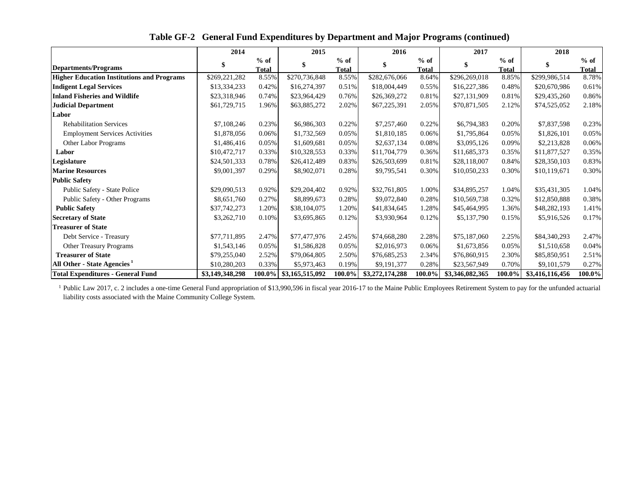|                                                   | 2014            |                 | 2015                     |                 | 2016            |                 | 2017            |                 | 2018            |                 |
|---------------------------------------------------|-----------------|-----------------|--------------------------|-----------------|-----------------|-----------------|-----------------|-----------------|-----------------|-----------------|
| <b>Departments/Programs</b>                       |                 | $%$ of<br>Total |                          | $%$ of<br>Total |                 | $%$ of<br>Total | \$              | $%$ of<br>Total |                 | $%$ of<br>Total |
| <b>Higher Education Institutions and Programs</b> | \$269,221,282   | 8.55%           | \$270,736,848            | 8.55%           | \$282,676,066   | 8.64%           | \$296,269,018   | 8.85%           | \$299,986,514   | 8.78%           |
| <b>Indigent Legal Services</b>                    | \$13,334,233    | 0.42%           | \$16,274,397             | 0.51%           | \$18,004,449    | 0.55%           | \$16,227,386    | 0.48%           | \$20,670,986    | 0.61%           |
| <b>Inland Fisheries and Wildlife</b>              | \$23,318,946    | 0.74%           | \$23,964,429             | 0.76%           | \$26,369,272    | 0.81%           | \$27,131,909    | 0.81%           | \$29,435,260    | 0.86%           |
| <b>Judicial Department</b>                        | \$61,729,715    | 1.96%           | \$63,885,272             | 2.02%           | \$67,225,391    | 2.05%           | \$70,871,505    | 2.12%           | \$74,525,052    | 2.18%           |
| Labor                                             |                 |                 |                          |                 |                 |                 |                 |                 |                 |                 |
| <b>Rehabilitation Services</b>                    | \$7,108,246     | 0.23%           | \$6,986,303              | 0.22%           | \$7,257,460     | 0.22%           | \$6,794,383     | 0.20%           | \$7,837,598     | 0.23%           |
| <b>Employment Services Activities</b>             | \$1,878,056     | 0.06%           | \$1,732,569              | 0.05%           | \$1,810,185     | 0.06%           | \$1,795,864     | 0.05%           | \$1,826,101     | 0.05%           |
| <b>Other Labor Programs</b>                       | \$1,486,416     | 0.05%           | \$1,609,681              | 0.05%           | \$2,637,134     | 0.08%           | \$3,095,126     | 0.09%           | \$2,213,828     | 0.06%           |
| Labor                                             | \$10,472,717    | 0.33%           | \$10,328,553             | 0.33%           | \$11,704,779    | 0.36%           | \$11,685,373    | 0.35%           | \$11,877,527    | 0.35%           |
| Legislature                                       | \$24,501,333    | 0.78%           | \$26,412,489             | 0.83%           | \$26,503,699    | 0.81%           | \$28,118,007    | 0.84%           | \$28,350,103    | 0.83%           |
| <b>Marine Resources</b>                           | \$9,001,397     | 0.29%           | \$8,902,071              | 0.28%           | \$9,795,541     | 0.30%           | \$10,050,233    | 0.30%           | \$10,119,671    | 0.30%           |
| <b>Public Safety</b>                              |                 |                 |                          |                 |                 |                 |                 |                 |                 |                 |
| Public Safety - State Police                      | \$29,090,513    | 0.92%           | \$29,204,402             | 0.92%           | \$32,761,805    | 1.00%           | \$34,895,257    | 1.04%           | \$35,431,305    | 1.04%           |
| Public Safety - Other Programs                    | \$8,651,760     | 0.27%           | \$8,899,673              | 0.28%           | \$9,072,840     | 0.28%           | \$10,569,738    | 0.32%           | \$12,850,888    | 0.38%           |
| <b>Public Safety</b>                              | \$37,742,273    | 1.20%           | \$38,104,075             | 1.20%           | \$41,834,645    | 1.28%           | \$45,464,995    | 1.36%           | \$48,282,193    | 1.41%           |
| <b>Secretary of State</b>                         | \$3,262,710     | 0.10%           | \$3,695,865              | 0.12%           | \$3,930,964     | 0.12%           | \$5,137,790     | 0.15%           | \$5,916,526     | 0.17%           |
| <b>Treasurer of State</b>                         |                 |                 |                          |                 |                 |                 |                 |                 |                 |                 |
| Debt Service - Treasury                           | \$77,711,895    | 2.47%           | \$77,477,976             | 2.45%           | \$74,668,280    | 2.28%           | \$75,187,060    | 2.25%           | \$84,340,293    | 2.47%           |
| Other Treasury Programs                           | \$1,543,146     | 0.05%           | \$1,586,828              | 0.05%           | \$2,016,973     | 0.06%           | \$1,673,856     | 0.05%           | \$1,510,658     | 0.04%           |
| <b>Treasurer of State</b>                         | \$79,255,040    | 2.52%           | \$79,064,805             | 2.50%           | \$76,685,253    | 2.34%           | \$76,860,915    | 2.30%           | \$85,850,951    | 2.51%           |
| All Other - State Agencies <sup>1</sup>           | \$10,280,203    | 0.33%           | \$5,973,463              | 0.19%           | \$9,191,377     | 0.28%           | \$23,567,949    | 0.70%           | \$9,101,579     | 0.27%           |
| <b>Total Expenditures - General Fund</b>          | \$3,149,348,298 |                 | 100.0%   \$3,165,515,092 | 100.0%          | \$3,272,174,288 | 100.0%          | \$3,346,082,365 | 100.0%          | \$3,416,116,456 | 100.0%          |

 **Table GF-2 General Fund Expenditures by Department and Major Programs (continued)**

<sup>1</sup> Public Law 2017, c. 2 includes a one-time General Fund appropriation of \$13,990,596 in fiscal year 2016-17 to the Maine Public Employees Retirement System to pay for the unfunded actuarial liability costs associated with the Maine Community College System.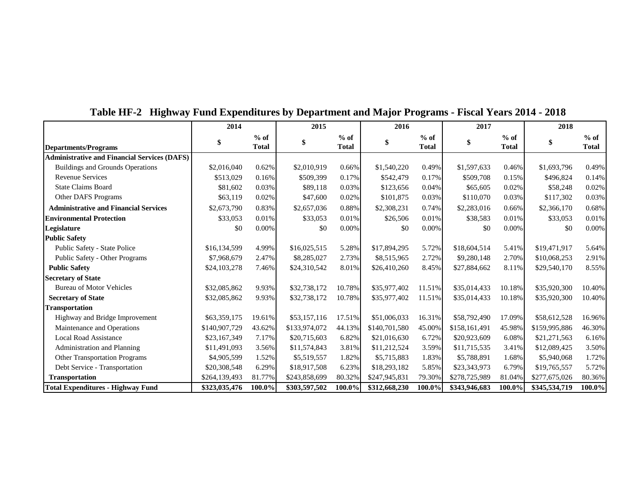|                                                     | 2014          |              | 2015          |              | 2016          |              | 2017          |              | 2018          |              |
|-----------------------------------------------------|---------------|--------------|---------------|--------------|---------------|--------------|---------------|--------------|---------------|--------------|
|                                                     | S             | $%$ of       | \$            | $%$ of       | \$            | $%$ of       | \$            | $%$ of       | \$            | $%$ of       |
| <b>Departments/Programs</b>                         |               | <b>Total</b> |               | <b>Total</b> |               | <b>Total</b> |               | <b>Total</b> |               | <b>Total</b> |
| <b>Administrative and Financial Services (DAFS)</b> |               |              |               |              |               |              |               |              |               |              |
| <b>Buildings and Grounds Operations</b>             | \$2,016,040   | 0.62%        | \$2,010,919   | 0.66%        | \$1,540,220   | 0.49%        | \$1,597,633   | 0.46%        | \$1,693,796   | 0.49%        |
| <b>Revenue Services</b>                             | \$513,029     | 0.16%        | \$509,399     | 0.17%        | \$542,479     | 0.17%        | \$509,708     | 0.15%        | \$496,824     | 0.14%        |
| <b>State Claims Board</b>                           | \$81,602      | 0.03%        | \$89,118      | 0.03%        | \$123,656     | 0.04%        | \$65,605      | 0.02%        | \$58,248      | 0.02%        |
| Other DAFS Programs                                 | \$63,119      | 0.02%        | \$47,600      | 0.02%        | \$101,875     | 0.03%        | \$110,070     | 0.03%        | \$117,302     | 0.03%        |
| <b>Administrative and Financial Services</b>        | \$2,673,790   | 0.83%        | \$2,657,036   | 0.88%        | \$2,308,231   | 0.74%        | \$2,283,016   | 0.66%        | \$2,366,170   | 0.68%        |
| <b>Environmental Protection</b>                     | \$33,053      | 0.01%        | \$33,053      | 0.01%        | \$26,506      | 0.01%        | \$38,583      | 0.01%        | \$33,053      | 0.01%        |
| Legislature                                         | \$0           | 0.00%        | \$0           | 0.00%        | \$0           | 0.00%        | \$0           | 0.00%        | \$0           | 0.00%        |
| <b>Public Safety</b>                                |               |              |               |              |               |              |               |              |               |              |
| <b>Public Safety - State Police</b>                 | \$16,134,599  | 4.99%        | \$16,025,515  | 5.28%        | \$17,894,295  | 5.72%        | \$18,604,514  | 5.41%        | \$19,471,917  | 5.64%        |
| Public Safety - Other Programs                      | \$7,968,679   | 2.47%        | \$8,285,027   | 2.73%        | \$8,515,965   | 2.72%        | \$9,280,148   | 2.70%        | \$10,068,253  | 2.91%        |
| <b>Public Safety</b>                                | \$24,103,278  | 7.46%        | \$24,310,542  | 8.01%        | \$26,410,260  | 8.45%        | \$27,884,662  | 8.11%        | \$29,540,170  | 8.55%        |
| <b>Secretary of State</b>                           |               |              |               |              |               |              |               |              |               |              |
| <b>Bureau of Motor Vehicles</b>                     | \$32,085,862  | 9.93%        | \$32,738,172  | 10.78%       | \$35,977,402  | 11.51%       | \$35,014,433  | 10.18%       | \$35,920,300  | 10.40%       |
| <b>Secretary of State</b>                           | \$32,085,862  | 9.93%        | \$32,738,172  | 10.78%       | \$35,977,402  | 11.51%       | \$35,014,433  | 10.18%       | \$35,920,300  | 10.40%       |
| <b>Transportation</b>                               |               |              |               |              |               |              |               |              |               |              |
| Highway and Bridge Improvement                      | \$63,359,175  | 19.61%       | \$53,157,116  | 17.51%       | \$51,006,033  | 16.31%       | \$58,792,490  | 17.09%       | \$58,612,528  | 16.96%       |
| Maintenance and Operations                          | \$140,907,729 | 43.62%       | \$133,974,072 | 44.13%       | \$140,701,580 | 45.00%       | \$158,161,491 | 45.98%       | \$159,995,886 | 46.30%       |
| <b>Local Road Assistance</b>                        | \$23,167,349  | 7.17%        | \$20,715,603  | 6.82%        | \$21,016,630  | 6.72%        | \$20,923,609  | 6.08%        | \$21,271,563  | 6.16%        |
| Administration and Planning                         | \$11,491,093  | 3.56%        | \$11,574,843  | 3.81%        | \$11,212,524  | 3.59%        | \$11,715,535  | 3.41%        | \$12,089,425  | 3.50%        |
| <b>Other Transportation Programs</b>                | \$4,905,599   | 1.52%        | \$5,519,557   | 1.82%        | \$5,715,883   | 1.83%        | \$5,788,891   | 1.68%        | \$5,940,068   | 1.72%        |
| Debt Service - Transportation                       | \$20,308,548  | 6.29%        | \$18,917,508  | 6.23%        | \$18,293,182  | 5.85%        | \$23,343,973  | 6.79%        | \$19,765,557  | 5.72%        |
| <b>Transportation</b>                               | \$264,139,493 | 81.77%       | \$243,858,699 | 80.32%       | \$247,945,831 | 79.30%       | \$278,725,989 | 81.04%       | \$277,675,026 | 80.36%       |
| <b>Total Expenditures - Highway Fund</b>            | \$323,035,476 | 100.0%       | \$303,597,502 | 100.0%       | \$312,668,230 | 100.0%       | \$343,946,683 | 100.0%       | \$345,534,719 | 100.0%       |

 **Table HF-2 Highway Fund Expenditures by Department and Major Programs - Fiscal Years 2014 - 2018**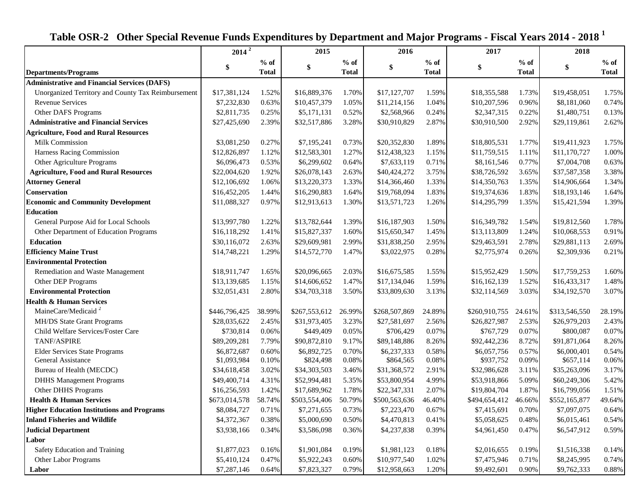|                                                     | $2014^2$      |              | 2015          | 2016         |               |              | 2017          |              | 2018          |              |
|-----------------------------------------------------|---------------|--------------|---------------|--------------|---------------|--------------|---------------|--------------|---------------|--------------|
|                                                     | \$            | $%$ of       | \$            | $%$ of       |               | $%$ of       | \$            | $%$ of       | \$            | $%$ of       |
| <b>Departments/Programs</b>                         |               | <b>Total</b> |               | <b>Total</b> | \$            | <b>Total</b> |               | <b>Total</b> |               | <b>Total</b> |
| <b>Administrative and Financial Services (DAFS)</b> |               |              |               |              |               |              |               |              |               |              |
| Unorganized Territory and County Tax Reimbursement  | \$17,381,124  | 1.52%        | \$16,889,376  | 1.70%        | \$17,127,707  | 1.59%        | \$18,355,588  | 1.73%        | \$19,458,051  | 1.75%        |
| <b>Revenue Services</b>                             | \$7,232,830   | 0.63%        | \$10,457,379  | 1.05%        | \$11,214,156  | 1.04%        | \$10,207,596  | 0.96%        | \$8,181,060   | 0.74%        |
| Other DAFS Programs                                 | \$2,811,735   | 0.25%        | \$5,171,131   | 0.52%        | \$2,568,966   | 0.24%        | \$2,347,315   | 0.22%        | \$1,480,751   | 0.13%        |
| <b>Administrative and Financial Services</b>        | \$27,425,690  | 2.39%        | \$32,517,886  | 3.28%        | \$30,910,829  | 2.87%        | \$30,910,500  | 2.92%        | \$29,119,861  | 2.62%        |
| <b>Agriculture, Food and Rural Resources</b>        |               |              |               |              |               |              |               |              |               |              |
| <b>Milk Commission</b>                              | \$3,081,250   | 0.27%        | \$7,195,241   | 0.73%        | \$20,352,830  | 1.89%        | \$18,805,531  | 1.77%        | \$19,411,923  | 1.75%        |
| Harness Racing Commission                           | \$12,826,897  | 1.12%        | \$12,583,301  | 1.27%        | \$12,438,323  | 1.15%        | \$11,759,515  | 1.11%        | \$11,170,727  | 1.00%        |
| Other Agriculture Programs                          | \$6,096,473   | 0.53%        | \$6,299,602   | 0.64%        | \$7,633,119   | 0.71%        | \$8,161,546   | 0.77%        | \$7,004,708   | 0.63%        |
| <b>Agriculture, Food and Rural Resources</b>        | \$22,004,620  | 1.92%        | \$26,078,143  | 2.63%        | \$40,424,272  | 3.75%        | \$38,726,592  | 3.65%        | \$37,587,358  | 3.38%        |
| <b>Attorney General</b>                             | \$12,106,692  | 1.06%        | \$13,220,373  | 1.33%        | \$14,366,460  | 1.33%        | \$14,350,763  | 1.35%        | \$14,906,664  | 1.34%        |
| Conservation                                        | \$16,452,205  | 1.44%        | \$16,290,883  | 1.64%        | \$19,768,094  | 1.83%        | \$19,374,636  | 1.83%        | \$18,193,146  | 1.64%        |
| <b>Economic and Community Development</b>           | \$11,088,327  | 0.97%        | \$12,913,613  | 1.30%        | \$13,571,723  | 1.26%        | \$14,295,799  | 1.35%        | \$15,421,594  | 1.39%        |
| <b>Education</b>                                    |               |              |               |              |               |              |               |              |               |              |
| General Purpose Aid for Local Schools               | \$13,997,780  | 1.22%        | \$13,782,644  | 1.39%        | \$16,187,903  | 1.50%        | \$16,349,782  | 1.54%        | \$19,812,560  | 1.78%        |
| Other Department of Education Programs              | \$16,118,292  | 1.41%        | \$15,827,337  | 1.60%        | \$15,650,347  | 1.45%        | \$13,113,809  | 1.24%        | \$10,068,553  | 0.91%        |
| <b>Education</b>                                    | \$30,116,072  | 2.63%        | \$29,609,981  | 2.99%        | \$31,838,250  | 2.95%        | \$29,463,591  | 2.78%        | \$29,881,113  | 2.69%        |
| <b>Efficiency Maine Trust</b>                       | \$14,748,221  | 1.29%        | \$14,572,770  | 1.47%        | \$3,022,975   | 0.28%        | \$2,775,974   | 0.26%        | \$2,309,936   | 0.21%        |
| <b>Environmental Protection</b>                     |               |              |               |              |               |              |               |              |               |              |
| Remediation and Waste Management                    | \$18,911,747  | 1.65%        | \$20,096,665  | 2.03%        | \$16,675,585  | 1.55%        | \$15,952,429  | 1.50%        | \$17,759,253  | 1.60%        |
| Other DEP Programs                                  | \$13,139,685  | 1.15%        | \$14,606,652  | 1.47%        | \$17,134,046  | 1.59%        | \$16,162,139  | 1.52%        | \$16,433,317  | 1.48%        |
| <b>Environmental Protection</b>                     | \$32,051,431  | 2.80%        | \$34,703,318  | 3.50%        | \$33,809,630  | 3.13%        | \$32,114,569  | 3.03%        | \$34,192,570  | 3.07%        |
| <b>Health &amp; Human Services</b>                  |               |              |               |              |               |              |               |              |               |              |
| MaineCare/Medicaid <sup>2</sup>                     | \$446,796,425 | 38.99%       | \$267,553,612 | 26.99%       | \$268,507,869 | 24.89%       | \$260,910,755 | 24.61%       | \$313,546,550 | 28.19%       |
| MH/DS State Grant Programs                          | \$28,035,622  | 2.45%        | \$31,973,405  | 3.23%        | \$27,581,697  | 2.56%        | \$26,827,987  | 2.53%        | \$26,979,203  | 2.43%        |
| Child Welfare Services/Foster Care                  | \$730,814     | 0.06%        | \$449,409     | 0.05%        | \$706,429     | 0.07%        | \$767,729     | 0.07%        | \$800,087     | 0.07%        |
| TANF/ASPIRE                                         | \$89,209,281  | 7.79%        | \$90,872,810  | 9.17%        | \$89,148,886  | 8.26%        | \$92,442,236  | 8.72%        | \$91,871,064  | 8.26%        |
| Elder Services State Programs                       | \$6,872,687   | 0.60%        | \$6,892,725   | 0.70%        | \$6,237,333   | 0.58%        | \$6,057,756   | 0.57%        | \$6,000,401   | 0.54%        |
| General Assistance                                  | \$1,093,984   | 0.10%        | \$824,498     | 0.08%        | \$864,565     | 0.08%        | \$937,752     | 0.09%        | \$657,114     | 0.06%        |
| Bureau of Health (MECDC)                            | \$34,618,458  | 3.02%        | \$34,303,503  | 3.46%        | \$31,368,572  | 2.91%        | \$32,986,628  | 3.11%        | \$35,263,096  | 3.17%        |
| <b>DHHS Management Programs</b>                     | \$49,400,714  | 4.31%        | \$52,994,481  | 5.35%        | \$53,800,954  | 4.99%        | \$53,918,866  | 5.09%        | \$60,249,306  | 5.42%        |
| Other DHHS Programs                                 | \$16,256,593  | 1.42%        | \$17,689,962  | 1.78%        | \$22,347,331  | 2.07%        | \$19,804,704  | 1.87%        | \$16,799,056  | 1.51%        |
| <b>Health &amp; Human Services</b>                  | \$673,014,578 | 58.74%       | \$503,554,406 | 50.79%       | \$500,563,636 | 46.40%       | \$494,654,412 | 46.66%       | \$552,165,877 | 49.64%       |
| <b>Higher Education Institutions and Programs</b>   | \$8,084,727   | 0.71%        | \$7,271,655   | 0.73%        | \$7,223,470   | 0.67%        | \$7,415,691   | 0.70%        | \$7,097,075   | 0.64%        |
| <b>Inland Fisheries and Wildlife</b>                | \$4,372,367   | 0.38%        | \$5,000,690   | 0.50%        | \$4,470,813   | 0.41%        | \$5,058,625   | 0.48%        | \$6,015,461   | 0.54%        |
| <b>Judicial Department</b>                          | \$3,938,166   | 0.34%        | \$3,586,098   | 0.36%        | \$4,237,838   | 0.39%        | \$4,961,450   | 0.47%        | \$6,547,912   | 0.59%        |
| Labor                                               |               |              |               |              |               |              |               |              |               |              |
| Safety Education and Training                       | \$1,877,023   | 0.16%        | \$1,901,084   | 0.19%        | \$1,981,123   | 0.18%        | \$2,016,655   | 0.19%        | \$1,516,338   | 0.14%        |
| Other Labor Programs                                | \$5,410,124   | 0.47%        | \$5,922,243   | 0.60%        | \$10,977,540  | 1.02%        | \$7,475,946   | 0.71%        | \$8,245,995   | 0.74%        |
| Labor                                               | \$7,287,146   | 0.64%        | \$7,823,327   | 0.79%        | \$12,958,663  | 1.20%        | \$9,492,601   | 0.90%        | \$9,762,333   | 0.88%        |

 **Table OSR-2 Other Special Revenue Funds Expenditures by Department and Major Programs - Fiscal Years 2014 - 2018 <sup>1</sup>**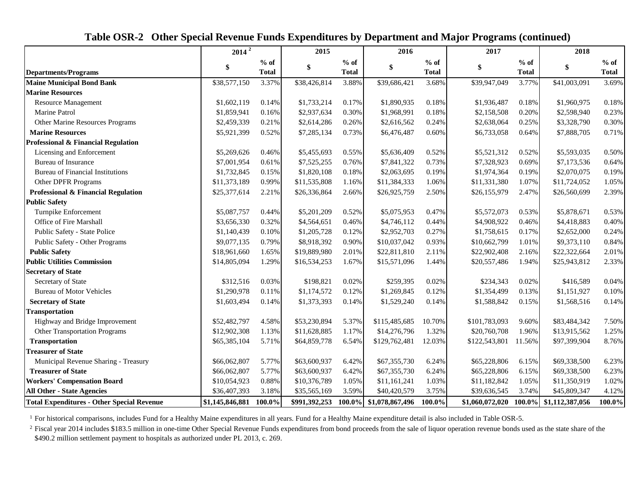|                                                   |                 | $2014^{\frac{2}{}}$    |               | 2015                   |                        |                        | 2017            |                        | 2018            |                        |
|---------------------------------------------------|-----------------|------------------------|---------------|------------------------|------------------------|------------------------|-----------------|------------------------|-----------------|------------------------|
| <b>Departments/Programs</b>                       | \$              | $%$ of<br><b>Total</b> | \$            | $%$ of<br><b>Total</b> | \$                     | $%$ of<br><b>Total</b> | \$              | $%$ of<br><b>Total</b> | \$              | $%$ of<br><b>Total</b> |
| <b>Maine Municipal Bond Bank</b>                  | \$38,577,150    | 3.37%                  | \$38,426,814  | 3.88%                  | \$39,686,421           | 3.68%                  | \$39,947,049    | 3.77%                  | \$41,003,091    | 3.69%                  |
| <b>Marine Resources</b>                           |                 |                        |               |                        |                        |                        |                 |                        |                 |                        |
| Resource Management                               | \$1,602,119     | 0.14%                  | \$1,733,214   | 0.17%                  | \$1,890,935            | 0.18%                  | \$1,936,487     | 0.18%                  | \$1,960,975     | 0.18%                  |
| Marine Patrol                                     | \$1,859,941     | 0.16%                  | \$2,937,634   | 0.30%                  | \$1,968,991            | 0.18%                  | \$2,158,508     | 0.20%                  | \$2,598,940     | 0.23%                  |
| Other Marine Resources Programs                   | \$2,459,339     | 0.21%                  | \$2,614,286   | 0.26%                  | \$2,616,562            | 0.24%                  | \$2,638,064     | 0.25%                  | \$3,328,790     | 0.30%                  |
| <b>Marine Resources</b>                           | \$5,921,399     | 0.52%                  | \$7,285,134   | 0.73%                  | \$6,476,487            | 0.60%                  | \$6,733,058     | 0.64%                  | \$7,888,705     | 0.71%                  |
| Professional & Financial Regulation               |                 |                        |               |                        |                        |                        |                 |                        |                 |                        |
| Licensing and Enforcement                         | \$5,269,626     | 0.46%                  | \$5,455,693   | 0.55%                  | \$5,636,409            | 0.52%                  | \$5,521,312     | 0.52%                  | \$5,593,035     | 0.50%                  |
| <b>Bureau of Insurance</b>                        | \$7,001,954     | 0.61%                  | \$7,525,255   | 0.76%                  | \$7,841,322            | 0.73%                  | \$7,328,923     | 0.69%                  | \$7,173,536     | 0.64%                  |
| <b>Bureau of Financial Institutions</b>           | \$1,732,845     | 0.15%                  | \$1,820,108   | 0.18%                  | \$2,063,695            | 0.19%                  | \$1,974,364     | 0.19%                  | \$2,070,075     | 0.19%                  |
| Other DPFR Programs                               | \$11,373,189    | 0.99%                  | \$11,535,808  | 1.16%                  | \$11,384,333           | 1.06%                  | \$11,331,380    | 1.07%                  | \$11,724,052    | 1.05%                  |
| Professional & Financial Regulation               | \$25,377,614    | 2.21%                  | \$26,336,864  | 2.66%                  | \$26,925,759           | 2.50%                  | \$26,155,979    | 2.47%                  | \$26,560,699    | 2.39%                  |
| <b>Public Safety</b>                              |                 |                        |               |                        |                        |                        |                 |                        |                 |                        |
| Turnpike Enforcement                              | \$5,087,757     | 0.44%                  | \$5,201,209   | 0.52%                  | \$5,075,953            | 0.47%                  | \$5,572,073     | 0.53%                  | \$5,878,671     | 0.53%                  |
| Office of Fire Marshall                           | \$3,656,330     | 0.32%                  | \$4,564,651   | 0.46%                  | \$4,746,112            | 0.44%                  | \$4,908,922     | 0.46%                  | \$4,418,883     | 0.40%                  |
| Public Safety - State Police                      | \$1,140,439     | 0.10%                  | \$1,205,728   | 0.12%                  | \$2,952,703            | 0.27%                  | \$1,758,615     | 0.17%                  | \$2,652,000     | 0.24%                  |
| Public Safety - Other Programs                    | \$9,077,135     | 0.79%                  | \$8,918,392   | 0.90%                  | \$10,037,042           | 0.93%                  | \$10,662,799    | 1.01%                  | \$9,373,110     | 0.84%                  |
| <b>Public Safety</b>                              | \$18,961,660    | 1.65%                  | \$19,889,980  | 2.01%                  | \$22,811,810           | 2.11%                  | \$22,902,408    | 2.16%                  | \$22,322,664    | 2.01%                  |
| <b>Public Utilities Commission</b>                | \$14,805,094    | 1.29%                  | \$16,534,253  | 1.67%                  | \$15,571,096           | 1.44%                  | \$20,557,486    | 1.94%                  | \$25,943,812    | 2.33%                  |
| <b>Secretary of State</b>                         |                 |                        |               |                        |                        |                        |                 |                        |                 |                        |
| Secretary of State                                | \$312,516       | 0.03%                  | \$198,821     | 0.02%                  | \$259,395              | 0.02%                  | \$234,343       | 0.02%                  | \$416,589       | 0.04%                  |
| <b>Bureau of Motor Vehicles</b>                   | \$1,290,978     | 0.11%                  | \$1,174,572   | 0.12%                  | \$1,269,845            | 0.12%                  | \$1,354,499     | 0.13%                  | \$1,151,927     | 0.10%                  |
| <b>Secretary of State</b>                         | \$1,603,494     | 0.14%                  | \$1,373,393   | 0.14%                  | \$1,529,240            | 0.14%                  | \$1,588,842     | 0.15%                  | \$1,568,516     | 0.14%                  |
| <b>Transportation</b>                             |                 |                        |               |                        |                        |                        |                 |                        |                 |                        |
| Highway and Bridge Improvement                    | \$52,482,797    | 4.58%                  | \$53,230,894  | 5.37%                  | \$115,485,685          | 10.70%                 | \$101,783,093   | 9.60%                  | \$83,484,342    | 7.50%                  |
| Other Transportation Programs                     | \$12,902,308    | 1.13%                  | \$11,628,885  | 1.17%                  | \$14,276,796           | 1.32%                  | \$20,760,708    | 1.96%                  | \$13,915,562    | 1.25%                  |
| <b>Transportation</b>                             | \$65,385,104    | 5.71%                  | \$64,859,778  | 6.54%                  | \$129,762,481          | 12.03%                 | \$122,543,801   | 11.56%                 | \$97,399,904    | 8.76%                  |
| <b>Treasurer of State</b>                         |                 |                        |               |                        |                        |                        |                 |                        |                 |                        |
| Municipal Revenue Sharing - Treasury              | \$66,062,807    | 5.77%                  | \$63,600,937  | 6.42%                  | \$67,355,730           | 6.24%                  | \$65,228,806    | 6.15%                  | \$69,338,500    | 6.23%                  |
| <b>Treasurer of State</b>                         | \$66,062,807    | 5.77%                  | \$63,600,937  | 6.42%                  | \$67,355,730           | 6.24%                  | \$65,228,806    | 6.15%                  | \$69,338,500    | 6.23%                  |
| <b>Workers' Compensation Board</b>                | \$10,054,923    | 0.88%                  | \$10,376,789  | 1.05%                  | \$11,161,241           | 1.03%                  | \$11,182,842    | 1.05%                  | \$11,350,919    | 1.02%                  |
| <b>All Other - State Agencies</b>                 | \$36,407,393    | 3.18%                  | \$35,565,169  | 3.59%                  | \$40,420,579           | 3.75%                  | \$39,636,545    | 3.74%                  | \$45,809,347    | 4.12%                  |
| <b>Total Expenditures - Other Special Revenue</b> | \$1,145,846,881 | 100.0%                 | \$991,392,253 |                        | 100.0% \$1,078,867,496 | 100.0%                 | \$1,060,072,020 | $100.0\%$              | \$1,112,387,056 | 100.0%                 |

 **Table OSR-2 Other Special Revenue Funds Expenditures by Department and Major Programs (continued)**

<sup>1</sup> For historical comparisons, includes Fund for a Healthy Maine expenditures in all years. Fund for a Healthy Maine expenditure detail is also included in Table OSR-5.

 $^2$  Fiscal year 2014 includes \$183.5 million in one-time Other Special Revenue Funds expenditures from bond proceeds from the sale of liquor operation revenue bonds used as the state share of the \$490.2 million settlement payment to hospitals as authorized under PL 2013, c. 269.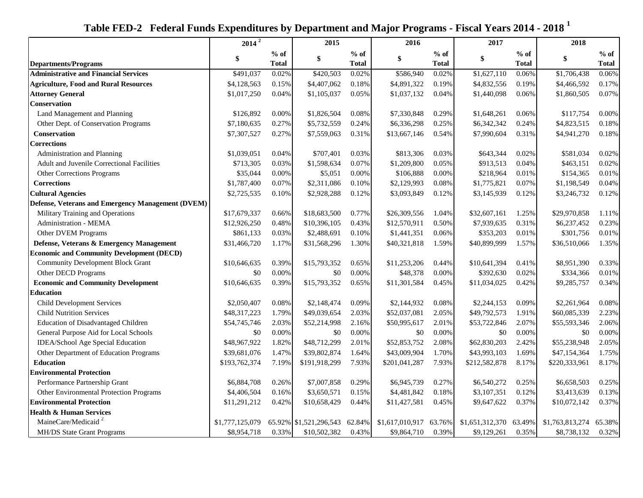|                                                          | $2014^2$        |              | 2015                   |              | 2016            |              | 2017            |              | 2018            |              |
|----------------------------------------------------------|-----------------|--------------|------------------------|--------------|-----------------|--------------|-----------------|--------------|-----------------|--------------|
|                                                          | \$              | $%$ of       | \$                     | $%$ of       | \$              | $%$ of       | \$              | $%$ of       | \$              | $%$ of       |
| <b>Departments/Programs</b>                              |                 | <b>Total</b> |                        | <b>Total</b> |                 | <b>Total</b> |                 | <b>Total</b> |                 | <b>Total</b> |
| <b>Administrative and Financial Services</b>             | \$491,037       | 0.02%        | \$420,503              | 0.02%        | \$586,940       | 0.02%        | \$1,627,110     | 0.06%        | \$1,706,438     | 0.06%        |
| <b>Agriculture, Food and Rural Resources</b>             | \$4,128,563     | 0.15%        | \$4,407,062            | 0.18%        | \$4,891,322     | 0.19%        | \$4,832,556     | 0.19%        | \$4,466,592     | 0.17%        |
| <b>Attorney General</b>                                  | \$1,017,250     | 0.04%        | \$1,105,037            | 0.05%        | \$1,037,132     | 0.04%        | \$1,440,098     | 0.06%        | \$1,860,505     | 0.07%        |
| <b>Conservation</b>                                      |                 |              |                        |              |                 |              |                 |              |                 |              |
| Land Management and Planning                             | \$126,892       | 0.00%        | \$1,826,504            | 0.08%        | \$7,330,848     | 0.29%        | \$1,648,261     | 0.06%        | \$117,754       | 0.00%        |
| Other Dept. of Conservation Programs                     | \$7,180,635     | 0.27%        | \$5,732,559            | 0.24%        | \$6,336,298     | 0.25%        | \$6,342,342     | 0.24%        | \$4,823,515     | 0.18%        |
| Conservation                                             | \$7,307,527     | 0.27%        | \$7,559,063            | 0.31%        | \$13,667,146    | 0.54%        | \$7,990,604     | 0.31%        | \$4,941,270     | 0.18%        |
| <b>Corrections</b>                                       |                 |              |                        |              |                 |              |                 |              |                 |              |
| Administration and Planning                              | \$1,039,051     | 0.04%        | \$707,401              | 0.03%        | \$813,306       | 0.03%        | \$643,344       | 0.02%        | \$581,034       | 0.02%        |
| Adult and Juvenile Correctional Facilities               | \$713,305       | 0.03%        | \$1,598,634            | 0.07%        | \$1,209,800     | 0.05%        | \$913,513       | 0.04%        | \$463,151       | 0.02%        |
| Other Corrections Programs                               | \$35,044        | 0.00%        | \$5,051                | 0.00%        | \$106,888       | $0.00\%$     | \$218,964       | 0.01%        | \$154,365       | 0.01%        |
| <b>Corrections</b>                                       | \$1,787,400     | 0.07%        | \$2,311,086            | 0.10%        | \$2,129,993     | 0.08%        | \$1,775,821     | 0.07%        | \$1,198,549     | 0.04%        |
| <b>Cultural Agencies</b>                                 | \$2,725,535     | 0.10%        | \$2,928,288            | 0.12%        | \$3,093,849     | 0.12%        | \$3,145,939     | 0.12%        | \$3,246,732     | 0.12%        |
| <b>Defense, Veterans and Emergency Management (DVEM)</b> |                 |              |                        |              |                 |              |                 |              |                 |              |
| Military Training and Operations                         | \$17,679,337    | 0.66%        | \$18,683,500           | 0.77%        | \$26,309,556    | 1.04%        | \$32,607,161    | 1.25%        | \$29,970,858    | 1.11%        |
| Administration - MEMA                                    | \$12,926,250    | 0.48%        | \$10,396,105           | 0.43%        | \$12,570,911    | 0.50%        | \$7,939,635     | 0.31%        | \$6,237,452     | 0.23%        |
| Other DVEM Programs                                      | \$861,133       | 0.03%        | \$2,488,691            | 0.10%        | \$1,441,351     | 0.06%        | \$353,203       | 0.01%        | \$301,756       | 0.01%        |
| Defense, Veterans & Emergency Management                 | \$31,466,720    | 1.17%        | \$31,568,296           | 1.30%        | \$40,321,818    | 1.59%        | \$40,899,999    | 1.57%        | \$36,510,066    | 1.35%        |
| <b>Economic and Community Development (DECD)</b>         |                 |              |                        |              |                 |              |                 |              |                 |              |
| <b>Community Development Block Grant</b>                 | \$10,646,635    | 0.39%        | \$15,793,352           | 0.65%        | \$11,253,206    | 0.44%        | \$10,641,394    | 0.41%        | \$8,951,390     | 0.33%        |
| Other DECD Programs                                      | \$0             | $0.00\%$     | \$0                    | 0.00%        | \$48,378        | 0.00%        | \$392,630       | 0.02%        | \$334,366       | 0.01%        |
| <b>Economic and Community Development</b>                | \$10,646,635    | 0.39%        | \$15,793,352           | 0.65%        | \$11,301,584    | 0.45%        | \$11,034,025    | 0.42%        | \$9,285,757     | 0.34%        |
| <b>Education</b>                                         |                 |              |                        |              |                 |              |                 |              |                 |              |
| <b>Child Development Services</b>                        | \$2,050,407     | 0.08%        | \$2,148,474            | 0.09%        | \$2,144,932     | 0.08%        | \$2,244,153     | 0.09%        | \$2,261,964     | 0.08%        |
| <b>Child Nutrition Services</b>                          | \$48,317,223    | 1.79%        | \$49,039,654           | 2.03%        | \$52,037,081    | 2.05%        | \$49,792,573    | 1.91%        | \$60,085,339    | 2.23%        |
| Education of Disadvantaged Children                      | \$54,745,746    | 2.03%        | \$52,214,998           | 2.16%        | \$50,995,617    | 2.01%        | \$53,722,846    | 2.07%        | \$55,593,346    | 2.06%        |
| General Purpose Aid for Local Schools                    | \$0             | $0.00\%$     | \$0                    | 0.00%        | \$0             | 0.00%        | \$0             | 0.00%        | \$0             | 0.00%        |
| IDEA/School Age Special Education                        | \$48,967,922    | 1.82%        | \$48,712,299           | 2.01%        | \$52,853,752    | 2.08%        | \$62,830,203    | 2.42%        | \$55,238,948    | 2.05%        |
| Other Department of Education Programs                   | \$39,681,076    | 1.47%        | \$39,802,874           | 1.64%        | \$43,009,904    | 1.70%        | \$43,993,103    | 1.69%        | \$47,154,364    | 1.75%        |
| <b>Education</b>                                         | \$193,762,374   | 7.19%        | \$191,918,299          | 7.93%        | \$201,041,287   | 7.93%        | \$212,582,878   | 8.17%        | \$220,333,961   | 8.17%        |
| <b>Environmental Protection</b>                          |                 |              |                        |              |                 |              |                 |              |                 |              |
| Performance Partnership Grant                            | \$6,884,708     | 0.26%        | \$7,007,858            | 0.29%        | \$6,945,739     | 0.27%        | \$6,540,272     | 0.25%        | \$6,658,503     | $0.25\%$     |
| Other Environmental Protection Programs                  | \$4,406,504     | 0.16%        | \$3,650,571            | 0.15%        | \$4,481,842     | 0.18%        | \$3,107,351     | 0.12%        | \$3,413,639     | 0.13%        |
| <b>Environmental Protection</b>                          | \$11,291,212    | 0.42%        | \$10,658,429           | 0.44%        | \$11,427,581    | 0.45%        | \$9,647,622     | 0.37%        | \$10,072,142    | 0.37%        |
| <b>Health &amp; Human Services</b>                       |                 |              |                        |              |                 |              |                 |              |                 |              |
| MaineCare/Medicaid <sup>2</sup>                          | \$1,777,125,079 |              | 65.92% \$1,521,296,543 | 62.84%       | \$1,617,010,917 | 63.76%       | \$1,651,312,370 | 63.49%       | \$1,763,813,274 | 65.38%       |
| <b>MH/DS State Grant Programs</b>                        | \$8,954,718     | 0.33%        | \$10,502,382           | 0.43%        | \$9,864,710     | 0.39%        | \$9,129,261     | 0.35%        | \$8,738,132     | 0.32%        |

 **Table FED-2 Federal Funds Expenditures by Department and Major Programs - Fiscal Years 2014 - 2018 <sup>1</sup>**